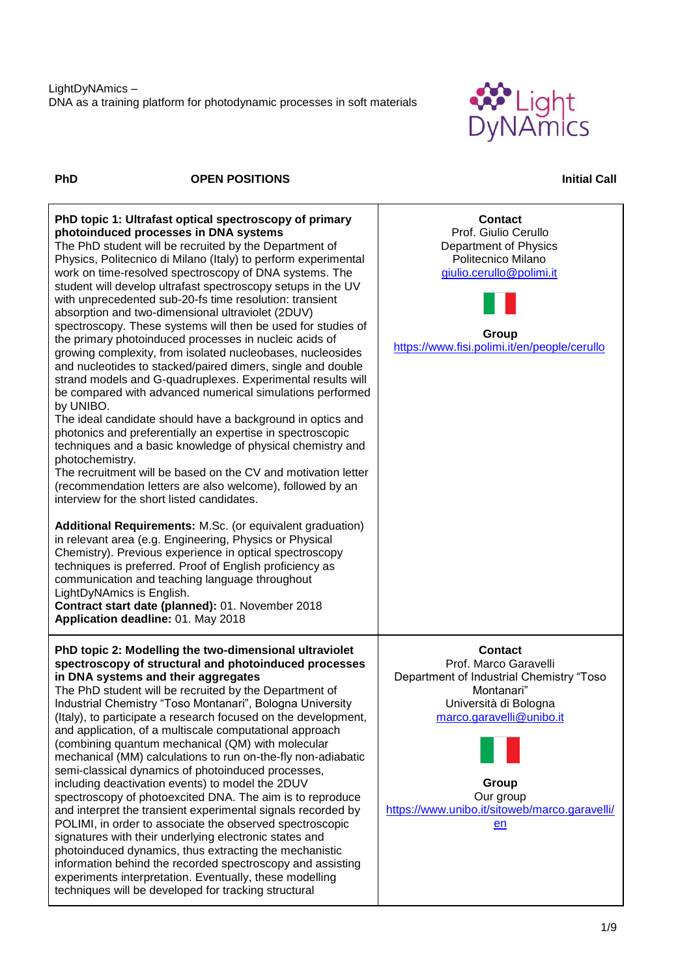

## **PhD OPEN POSITIONS Initial Call**

| PhD topic 1: Ultrafast optical spectroscopy of primary<br>photoinduced processes in DNA systems<br>The PhD student will be recruited by the Department of<br>Physics, Politecnico di Milano (Italy) to perform experimental<br>work on time-resolved spectroscopy of DNA systems. The<br>student will develop ultrafast spectroscopy setups in the UV<br>with unprecedented sub-20-fs time resolution: transient<br>absorption and two-dimensional ultraviolet (2DUV)<br>spectroscopy. These systems will then be used for studies of<br>the primary photoinduced processes in nucleic acids of<br>growing complexity, from isolated nucleobases, nucleosides<br>and nucleotides to stacked/paired dimers, single and double<br>strand models and G-quadruplexes. Experimental results will<br>be compared with advanced numerical simulations performed<br>by UNIBO.<br>The ideal candidate should have a background in optics and<br>photonics and preferentially an expertise in spectroscopic<br>techniques and a basic knowledge of physical chemistry and<br>photochemistry.<br>The recruitment will be based on the CV and motivation letter<br>(recommendation letters are also welcome), followed by an<br>interview for the short listed candidates.<br>Additional Requirements: M.Sc. (or equivalent graduation)<br>in relevant area (e.g. Engineering, Physics or Physical<br>Chemistry). Previous experience in optical spectroscopy<br>techniques is preferred. Proof of English proficiency as<br>communication and teaching language throughout<br>LightDyNAmics is English.<br>Contract start date (planned): 01. November 2018<br>Application deadline: 01. May 2018 | <b>Contact</b><br>Prof. Giulio Cerullo<br>Department of Physics<br>Politecnico Milano<br>giulio.cerullo@polimi.it<br>Group<br>https://www.fisi.polimi.it/en/people/cerullo                                                          |
|----------------------------------------------------------------------------------------------------------------------------------------------------------------------------------------------------------------------------------------------------------------------------------------------------------------------------------------------------------------------------------------------------------------------------------------------------------------------------------------------------------------------------------------------------------------------------------------------------------------------------------------------------------------------------------------------------------------------------------------------------------------------------------------------------------------------------------------------------------------------------------------------------------------------------------------------------------------------------------------------------------------------------------------------------------------------------------------------------------------------------------------------------------------------------------------------------------------------------------------------------------------------------------------------------------------------------------------------------------------------------------------------------------------------------------------------------------------------------------------------------------------------------------------------------------------------------------------------------------------------------------------------------------------------------------------|-------------------------------------------------------------------------------------------------------------------------------------------------------------------------------------------------------------------------------------|
| PhD topic 2: Modelling the two-dimensional ultraviolet<br>spectroscopy of structural and photoinduced processes<br>in DNA systems and their aggregates<br>The PhD student will be recruited by the Department of<br>Industrial Chemistry "Toso Montanari", Bologna University<br>(Italy), to participate a research focused on the development,<br>and application, of a multiscale computational approach<br>(combining quantum mechanical (QM) with molecular<br>mechanical (MM) calculations to run on-the-fly non-adiabatic<br>semi-classical dynamics of photoinduced processes,<br>including deactivation events) to model the 2DUV<br>spectroscopy of photoexcited DNA. The aim is to reproduce<br>and interpret the transient experimental signals recorded by<br>POLIMI, in order to associate the observed spectroscopic<br>signatures with their underlying electronic states and<br>photoinduced dynamics, thus extracting the mechanistic<br>information behind the recorded spectroscopy and assisting<br>experiments interpretation. Eventually, these modelling<br>techniques will be developed for tracking structural                                                                                                                                                                                                                                                                                                                                                                                                                                                                                                                                                | <b>Contact</b><br>Prof. Marco Garavelli<br>Department of Industrial Chemistry "Toso<br>Montanari"<br>Università di Bologna<br>marco.garavelli@unibo.it<br>Group<br>Our group<br>https://www.unibo.it/sitoweb/marco.garavelli/<br>en |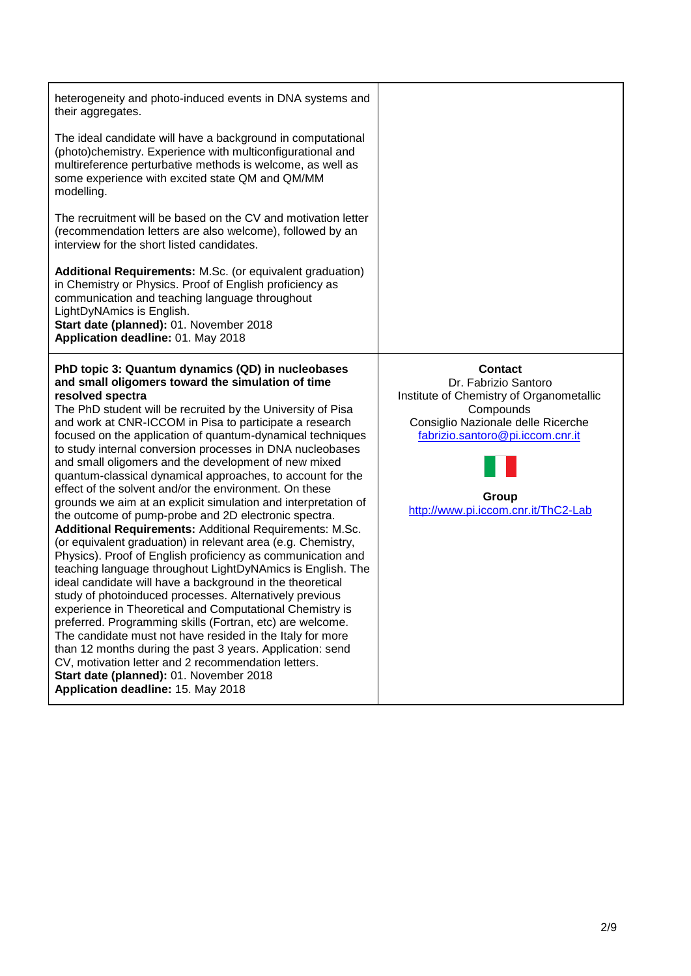| heterogeneity and photo-induced events in DNA systems and<br>their aggregates.                                                                                                                                                                                                                                                                                                                                                                                                                                                                                                                                                                                                                                                                                                                                                                                                                                                                                                                                                                                                                                                                                                                                                                                                                                                                                                                                                                                       |                                                                                                                                                                                                                           |
|----------------------------------------------------------------------------------------------------------------------------------------------------------------------------------------------------------------------------------------------------------------------------------------------------------------------------------------------------------------------------------------------------------------------------------------------------------------------------------------------------------------------------------------------------------------------------------------------------------------------------------------------------------------------------------------------------------------------------------------------------------------------------------------------------------------------------------------------------------------------------------------------------------------------------------------------------------------------------------------------------------------------------------------------------------------------------------------------------------------------------------------------------------------------------------------------------------------------------------------------------------------------------------------------------------------------------------------------------------------------------------------------------------------------------------------------------------------------|---------------------------------------------------------------------------------------------------------------------------------------------------------------------------------------------------------------------------|
| The ideal candidate will have a background in computational<br>(photo)chemistry. Experience with multiconfigurational and<br>multireference perturbative methods is welcome, as well as<br>some experience with excited state QM and QM/MM<br>modelling.                                                                                                                                                                                                                                                                                                                                                                                                                                                                                                                                                                                                                                                                                                                                                                                                                                                                                                                                                                                                                                                                                                                                                                                                             |                                                                                                                                                                                                                           |
| The recruitment will be based on the CV and motivation letter<br>(recommendation letters are also welcome), followed by an<br>interview for the short listed candidates.                                                                                                                                                                                                                                                                                                                                                                                                                                                                                                                                                                                                                                                                                                                                                                                                                                                                                                                                                                                                                                                                                                                                                                                                                                                                                             |                                                                                                                                                                                                                           |
| Additional Requirements: M.Sc. (or equivalent graduation)<br>in Chemistry or Physics. Proof of English proficiency as<br>communication and teaching language throughout<br>LightDyNAmics is English.<br>Start date (planned): 01. November 2018<br>Application deadline: 01. May 2018                                                                                                                                                                                                                                                                                                                                                                                                                                                                                                                                                                                                                                                                                                                                                                                                                                                                                                                                                                                                                                                                                                                                                                                |                                                                                                                                                                                                                           |
| PhD topic 3: Quantum dynamics (QD) in nucleobases<br>and small oligomers toward the simulation of time<br>resolved spectra<br>The PhD student will be recruited by the University of Pisa<br>and work at CNR-ICCOM in Pisa to participate a research<br>focused on the application of quantum-dynamical techniques<br>to study internal conversion processes in DNA nucleobases<br>and small oligomers and the development of new mixed<br>quantum-classical dynamical approaches, to account for the<br>effect of the solvent and/or the environment. On these<br>grounds we aim at an explicit simulation and interpretation of<br>the outcome of pump-probe and 2D electronic spectra.<br>Additional Requirements: Additional Requirements: M.Sc.<br>(or equivalent graduation) in relevant area (e.g. Chemistry,<br>Physics). Proof of English proficiency as communication and<br>teaching language throughout LightDyNAmics is English. The<br>ideal candidate will have a background in the theoretical<br>study of photoinduced processes. Alternatively previous<br>experience in Theoretical and Computational Chemistry is<br>preferred. Programming skills (Fortran, etc) are welcome.<br>The candidate must not have resided in the Italy for more<br>than 12 months during the past 3 years. Application: send<br>CV, motivation letter and 2 recommendation letters.<br>Start date (planned): 01. November 2018<br>Application deadline: 15. May 2018 | <b>Contact</b><br>Dr. Fabrizio Santoro<br>Institute of Chemistry of Organometallic<br>Compounds<br>Consiglio Nazionale delle Ricerche<br>fabrizio.santoro@pi.iccom.cnr.it<br>Group<br>http://www.pi.iccom.cnr.it/ThC2-Lab |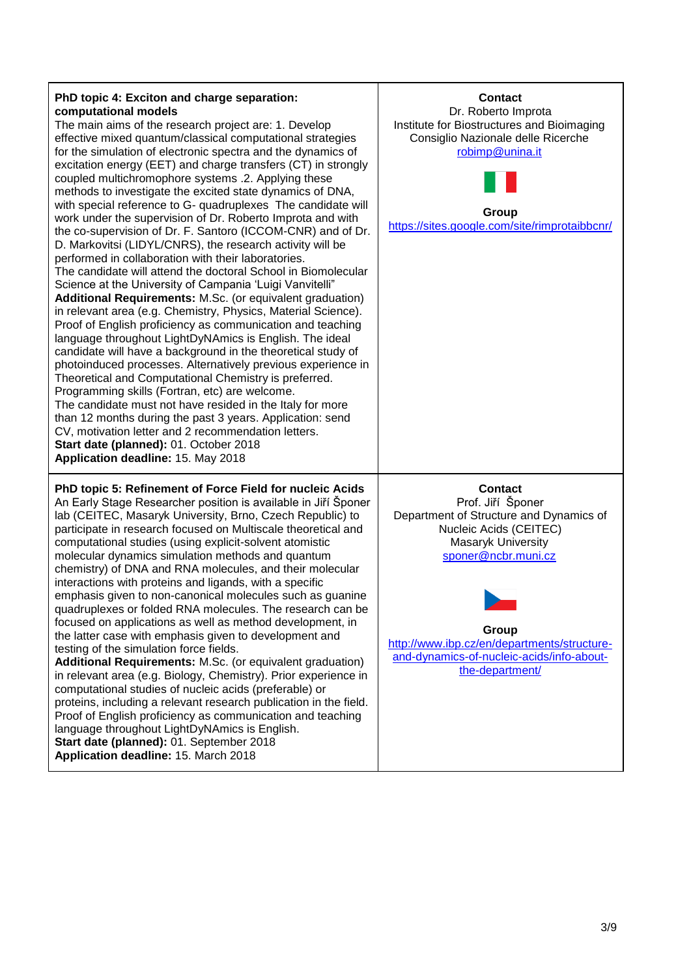| PhD topic 4: Exciton and charge separation:<br>computational models<br>The main aims of the research project are: 1. Develop<br>effective mixed quantum/classical computational strategies<br>for the simulation of electronic spectra and the dynamics of<br>excitation energy (EET) and charge transfers (CT) in strongly<br>coupled multichromophore systems .2. Applying these<br>methods to investigate the excited state dynamics of DNA,<br>with special reference to G- quadruplexes The candidate will<br>work under the supervision of Dr. Roberto Improta and with<br>the co-supervision of Dr. F. Santoro (ICCOM-CNR) and of Dr.<br>D. Markovitsi (LIDYL/CNRS), the research activity will be<br>performed in collaboration with their laboratories.<br>The candidate will attend the doctoral School in Biomolecular<br>Science at the University of Campania 'Luigi Vanvitelli"<br>Additional Requirements: M.Sc. (or equivalent graduation)<br>in relevant area (e.g. Chemistry, Physics, Material Science).<br>Proof of English proficiency as communication and teaching<br>language throughout LightDyNAmics is English. The ideal<br>candidate will have a background in the theoretical study of<br>photoinduced processes. Alternatively previous experience in<br>Theoretical and Computational Chemistry is preferred.<br>Programming skills (Fortran, etc) are welcome.<br>The candidate must not have resided in the Italy for more<br>than 12 months during the past 3 years. Application: send<br>CV, motivation letter and 2 recommendation letters.<br>Start date (planned): 01. October 2018<br>Application deadline: 15. May 2018 | <b>Contact</b><br>Dr. Roberto Improta<br>Institute for Biostructures and Bioimaging<br>Consiglio Nazionale delle Ricerche<br>robimp@unina.it<br>Group<br>https://sites.google.com/site/rimprotaibbcnr/                                                                        |
|------------------------------------------------------------------------------------------------------------------------------------------------------------------------------------------------------------------------------------------------------------------------------------------------------------------------------------------------------------------------------------------------------------------------------------------------------------------------------------------------------------------------------------------------------------------------------------------------------------------------------------------------------------------------------------------------------------------------------------------------------------------------------------------------------------------------------------------------------------------------------------------------------------------------------------------------------------------------------------------------------------------------------------------------------------------------------------------------------------------------------------------------------------------------------------------------------------------------------------------------------------------------------------------------------------------------------------------------------------------------------------------------------------------------------------------------------------------------------------------------------------------------------------------------------------------------------------------------------------------------------------------------------------------|-------------------------------------------------------------------------------------------------------------------------------------------------------------------------------------------------------------------------------------------------------------------------------|
| PhD topic 5: Refinement of Force Field for nucleic Acids<br>An Early Stage Researcher position is available in Jiří Šponer<br>lab (CEITEC, Masaryk University, Brno, Czech Republic) to<br>participate in research focused on Multiscale theoretical and<br>computational studies (using explicit-solvent atomistic<br>molecular dynamics simulation methods and quantum<br>chemistry) of DNA and RNA molecules, and their molecular<br>interactions with proteins and ligands, with a specific<br>emphasis given to non-canonical molecules such as guanine<br>quadruplexes or folded RNA molecules. The research can be<br>focused on applications as well as method development, in<br>the latter case with emphasis given to development and<br>testing of the simulation force fields.<br>Additional Requirements: M.Sc. (or equivalent graduation)<br>in relevant area (e.g. Biology, Chemistry). Prior experience in<br>computational studies of nucleic acids (preferable) or<br>proteins, including a relevant research publication in the field.<br>Proof of English proficiency as communication and teaching<br>language throughout LightDyNAmics is English.<br>Start date (planned): 01. September 2018<br>Application deadline: 15. March 2018                                                                                                                                                                                                                                                                                                                                                                                                    | <b>Contact</b><br>Prof. Jiří Šponer<br>Department of Structure and Dynamics of<br>Nucleic Acids (CEITEC)<br>Masaryk University<br>sponer@ncbr.muni.cz<br>Group<br>http://www.ibp.cz/en/departments/structure-<br>and-dynamics-of-nucleic-acids/info-about-<br>the-department/ |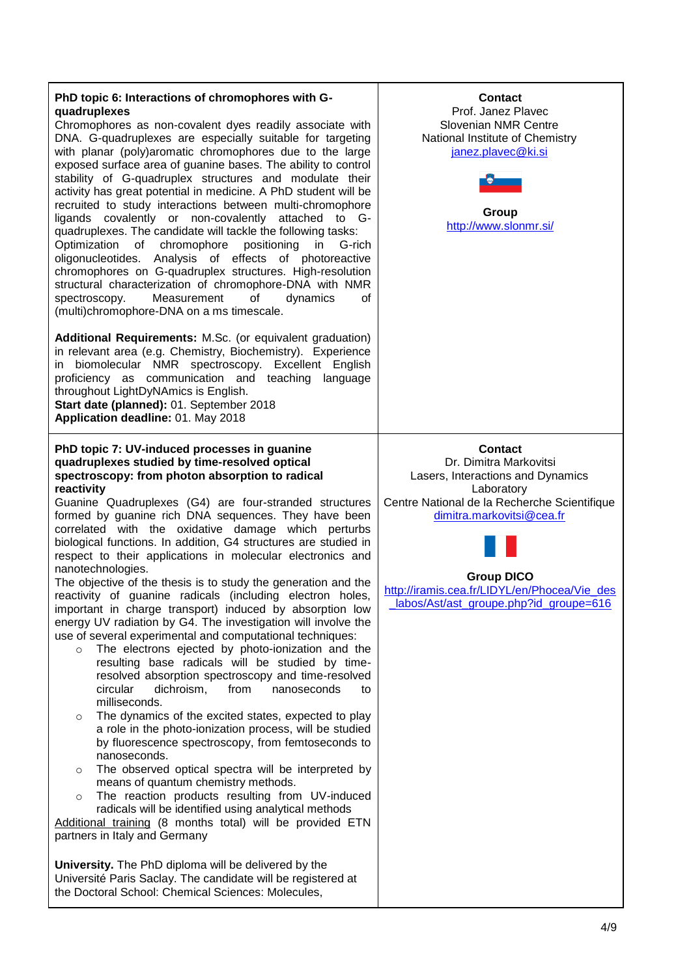| PhD topic 6: Interactions of chromophores with G-<br>quadruplexes<br>Chromophores as non-covalent dyes readily associate with<br>DNA. G-quadruplexes are especially suitable for targeting<br>with planar (poly)aromatic chromophores due to the large<br>exposed surface area of guanine bases. The ability to control<br>stability of G-quadruplex structures and modulate their<br>activity has great potential in medicine. A PhD student will be<br>recruited to study interactions between multi-chromophore<br>ligands covalently or non-covalently attached to G-<br>quadruplexes. The candidate will tackle the following tasks:<br>of chromophore positioning<br>Optimization<br>in<br>G-rich<br>oligonucleotides. Analysis of effects of photoreactive<br>chromophores on G-quadruplex structures. High-resolution<br>structural characterization of chromophore-DNA with NMR<br>Measurement<br>of<br>spectroscopy.<br>dynamics<br>0f<br>(multi)chromophore-DNA on a ms timescale.<br>Additional Requirements: M.Sc. (or equivalent graduation)<br>in relevant area (e.g. Chemistry, Biochemistry). Experience<br>in biomolecular NMR spectroscopy. Excellent English<br>proficiency as communication and teaching language<br>throughout LightDyNAmics is English.<br>Start date (planned): 01. September 2018<br>Application deadline: 01. May 2018                                                                                                                                                                                                                                                                                                                                                                                                                        | <b>Contact</b><br>Prof. Janez Plavec<br>Slovenian NMR Centre<br>National Institute of Chemistry<br>janez.plavec@ki.si<br>Group<br>http://www.slonmr.si/                                                                                                                                 |
|-----------------------------------------------------------------------------------------------------------------------------------------------------------------------------------------------------------------------------------------------------------------------------------------------------------------------------------------------------------------------------------------------------------------------------------------------------------------------------------------------------------------------------------------------------------------------------------------------------------------------------------------------------------------------------------------------------------------------------------------------------------------------------------------------------------------------------------------------------------------------------------------------------------------------------------------------------------------------------------------------------------------------------------------------------------------------------------------------------------------------------------------------------------------------------------------------------------------------------------------------------------------------------------------------------------------------------------------------------------------------------------------------------------------------------------------------------------------------------------------------------------------------------------------------------------------------------------------------------------------------------------------------------------------------------------------------------------------------------------------------------------------------------------------|-----------------------------------------------------------------------------------------------------------------------------------------------------------------------------------------------------------------------------------------------------------------------------------------|
| PhD topic 7: UV-induced processes in guanine<br>quadruplexes studied by time-resolved optical<br>spectroscopy: from photon absorption to radical<br>reactivity<br>Guanine Quadruplexes (G4) are four-stranded structures<br>formed by guanine rich DNA sequences. They have been<br>correlated with the oxidative damage which perturbs<br>biological functions. In addition, G4 structures are studied in<br>respect to their applications in molecular electronics and<br>nanotechnologies.<br>The objective of the thesis is to study the generation and the<br>reactivity of guanine radicals (including electron holes,<br>important in charge transport) induced by absorption low<br>energy UV radiation by G4. The investigation will involve the<br>use of several experimental and computational techniques:<br>The electrons ejected by photo-ionization and the<br>$\circ$<br>resulting base radicals will be studied by time-<br>resolved absorption spectroscopy and time-resolved<br>circular<br>dichroism,<br>from<br>nanoseconds<br>to<br>milliseconds.<br>The dynamics of the excited states, expected to play<br>$\circ$<br>a role in the photo-ionization process, will be studied<br>by fluorescence spectroscopy, from femtoseconds to<br>nanoseconds.<br>The observed optical spectra will be interpreted by<br>$\circ$<br>means of quantum chemistry methods.<br>The reaction products resulting from UV-induced<br>$\circ$<br>radicals will be identified using analytical methods<br>Additional training (8 months total) will be provided ETN<br>partners in Italy and Germany<br>University. The PhD diploma will be delivered by the<br>Université Paris Saclay. The candidate will be registered at<br>the Doctoral School: Chemical Sciences: Molecules, | <b>Contact</b><br>Dr. Dimitra Markovitsi<br>Lasers, Interactions and Dynamics<br>Laboratory<br>Centre National de la Recherche Scientifique<br>dimitra.markovitsi@cea.fr<br><b>Group DICO</b><br>http://iramis.cea.fr/LIDYL/en/Phocea/Vie_des<br>labos/Ast/ast_groupe.php?id_groupe=616 |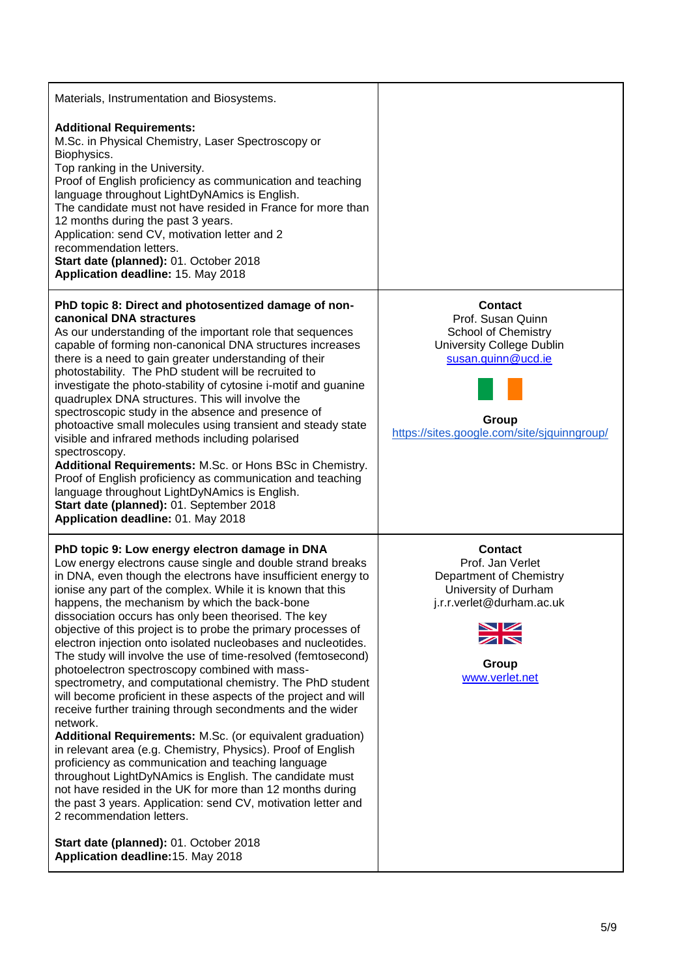| Materials, Instrumentation and Biosystems.                                                                                                                                                                                                                                                                                                                                                                                                                                                                                                                                                                                                                                                                                                                                                                                                                                                                                                                                                                                                                                                                                                                                                                                                                                                                      |                                                                                                                                                                                     |
|-----------------------------------------------------------------------------------------------------------------------------------------------------------------------------------------------------------------------------------------------------------------------------------------------------------------------------------------------------------------------------------------------------------------------------------------------------------------------------------------------------------------------------------------------------------------------------------------------------------------------------------------------------------------------------------------------------------------------------------------------------------------------------------------------------------------------------------------------------------------------------------------------------------------------------------------------------------------------------------------------------------------------------------------------------------------------------------------------------------------------------------------------------------------------------------------------------------------------------------------------------------------------------------------------------------------|-------------------------------------------------------------------------------------------------------------------------------------------------------------------------------------|
| <b>Additional Requirements:</b><br>M.Sc. in Physical Chemistry, Laser Spectroscopy or<br>Biophysics.<br>Top ranking in the University.<br>Proof of English proficiency as communication and teaching<br>language throughout LightDyNAmics is English.<br>The candidate must not have resided in France for more than<br>12 months during the past 3 years.<br>Application: send CV, motivation letter and 2<br>recommendation letters.<br>Start date (planned): 01. October 2018<br>Application deadline: 15. May 2018                                                                                                                                                                                                                                                                                                                                                                                                                                                                                                                                                                                                                                                                                                                                                                                          |                                                                                                                                                                                     |
| PhD topic 8: Direct and photosentized damage of non-<br>canonical DNA stractures<br>As our understanding of the important role that sequences<br>capable of forming non-canonical DNA structures increases<br>there is a need to gain greater understanding of their<br>photostability. The PhD student will be recruited to<br>investigate the photo-stability of cytosine i-motif and guanine<br>quadruplex DNA structures. This will involve the<br>spectroscopic study in the absence and presence of<br>photoactive small molecules using transient and steady state<br>visible and infrared methods including polarised<br>spectroscopy.<br>Additional Requirements: M.Sc. or Hons BSc in Chemistry.<br>Proof of English proficiency as communication and teaching<br>language throughout LightDyNAmics is English.<br>Start date (planned): 01. September 2018<br>Application deadline: 01. May 2018                                                                                                                                                                                                                                                                                                                                                                                                     | <b>Contact</b><br>Prof. Susan Quinn<br><b>School of Chemistry</b><br><b>University College Dublin</b><br>susan.quinn@ucd.ie<br>Group<br>https://sites.google.com/site/sjquinngroup/ |
| PhD topic 9: Low energy electron damage in DNA<br>Low energy electrons cause single and double strand breaks<br>in DNA, even though the electrons have insufficient energy to<br>ionise any part of the complex. While it is known that this<br>happens, the mechanism by which the back-bone<br>dissociation occurs has only been theorised. The key<br>objective of this project is to probe the primary processes of<br>electron injection onto isolated nucleobases and nucleotides.<br>The study will involve the use of time-resolved (femtosecond)<br>photoelectron spectroscopy combined with mass-<br>spectrometry, and computational chemistry. The PhD student<br>will become proficient in these aspects of the project and will<br>receive further training through secondments and the wider<br>network.<br>Additional Requirements: M.Sc. (or equivalent graduation)<br>in relevant area (e.g. Chemistry, Physics). Proof of English<br>proficiency as communication and teaching language<br>throughout LightDyNAmics is English. The candidate must<br>not have resided in the UK for more than 12 months during<br>the past 3 years. Application: send CV, motivation letter and<br>2 recommendation letters.<br>Start date (planned): 01. October 2018<br>Application deadline: 15. May 2018 | <b>Contact</b><br>Prof. Jan Verlet<br>Department of Chemistry<br>University of Durham<br>j.r.r.verlet@durham.ac.uk<br>↘☑<br>$\blacktriangledown$<br>Group<br>www.verlet.net         |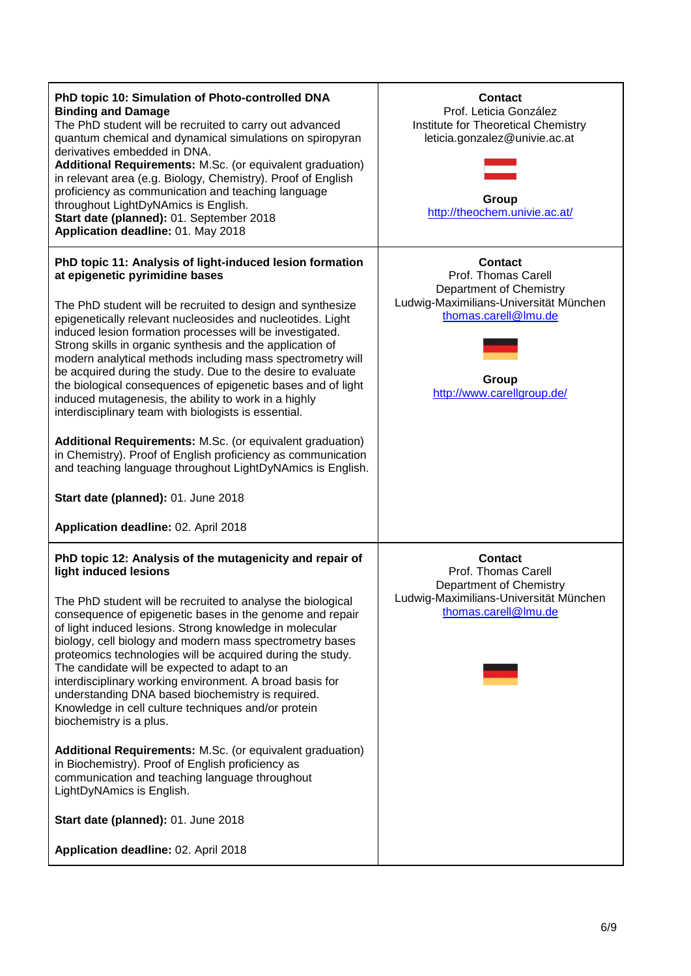| PhD topic 10: Simulation of Photo-controlled DNA<br><b>Binding and Damage</b><br>The PhD student will be recruited to carry out advanced<br>quantum chemical and dynamical simulations on spiropyran<br>derivatives embedded in DNA.<br>Additional Requirements: M.Sc. (or equivalent graduation)<br>in relevant area (e.g. Biology, Chemistry). Proof of English<br>proficiency as communication and teaching language<br>throughout LightDyNAmics is English.<br>Start date (planned): 01. September 2018<br>Application deadline: 01. May 2018                                                                                                                                                                                                                                                                                                                                             | <b>Contact</b><br>Prof. Leticia González<br>Institute for Theoretical Chemistry<br>leticia.gonzalez@univie.ac.at<br>Group<br>http://theochem.univie.ac.at/                |
|-----------------------------------------------------------------------------------------------------------------------------------------------------------------------------------------------------------------------------------------------------------------------------------------------------------------------------------------------------------------------------------------------------------------------------------------------------------------------------------------------------------------------------------------------------------------------------------------------------------------------------------------------------------------------------------------------------------------------------------------------------------------------------------------------------------------------------------------------------------------------------------------------|---------------------------------------------------------------------------------------------------------------------------------------------------------------------------|
| PhD topic 11: Analysis of light-induced lesion formation<br>at epigenetic pyrimidine bases<br>The PhD student will be recruited to design and synthesize<br>epigenetically relevant nucleosides and nucleotides. Light<br>induced lesion formation processes will be investigated.<br>Strong skills in organic synthesis and the application of<br>modern analytical methods including mass spectrometry will<br>be acquired during the study. Due to the desire to evaluate<br>the biological consequences of epigenetic bases and of light<br>induced mutagenesis, the ability to work in a highly<br>interdisciplinary team with biologists is essential.<br>Additional Requirements: M.Sc. (or equivalent graduation)<br>in Chemistry). Proof of English proficiency as communication<br>and teaching language throughout LightDyNAmics is English.                                       | <b>Contact</b><br>Prof. Thomas Carell<br>Department of Chemistry<br>Ludwig-Maximilians-Universität München<br>thomas.carell@lmu.de<br>Group<br>http://www.carellgroup.de/ |
| Start date (planned): 01. June 2018<br>Application deadline: 02. April 2018                                                                                                                                                                                                                                                                                                                                                                                                                                                                                                                                                                                                                                                                                                                                                                                                                   |                                                                                                                                                                           |
| PhD topic 12: Analysis of the mutagenicity and repair of<br>light induced lesions<br>The PhD student will be recruited to analyse the biological<br>consequence of epigenetic bases in the genome and repair<br>of light induced lesions. Strong knowledge in molecular<br>biology, cell biology and modern mass spectrometry bases<br>proteomics technologies will be acquired during the study.<br>The candidate will be expected to adapt to an<br>interdisciplinary working environment. A broad basis for<br>understanding DNA based biochemistry is required.<br>Knowledge in cell culture techniques and/or protein<br>biochemistry is a plus.<br>Additional Requirements: M.Sc. (or equivalent graduation)<br>in Biochemistry). Proof of English proficiency as<br>communication and teaching language throughout<br>LightDyNAmics is English.<br>Start date (planned): 01. June 2018 | <b>Contact</b><br>Prof. Thomas Carell<br>Department of Chemistry<br>Ludwig-Maximilians-Universität München<br>thomas.carell@lmu.de                                        |
| Application deadline: 02. April 2018                                                                                                                                                                                                                                                                                                                                                                                                                                                                                                                                                                                                                                                                                                                                                                                                                                                          |                                                                                                                                                                           |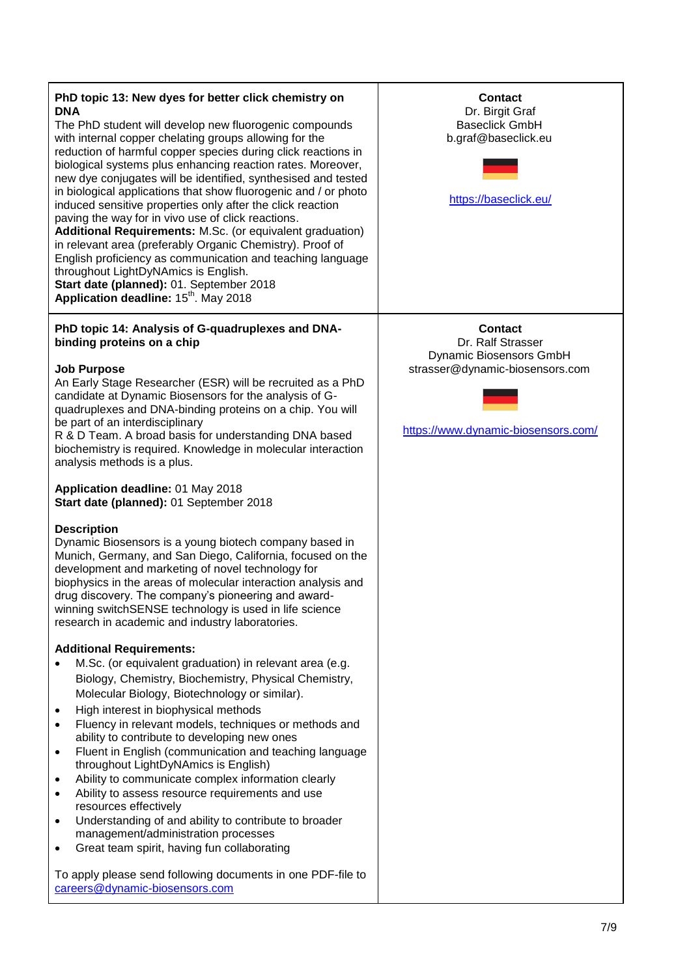| PhD topic 13: New dyes for better click chemistry on<br><b>DNA</b><br>The PhD student will develop new fluorogenic compounds<br>with internal copper chelating groups allowing for the<br>reduction of harmful copper species during click reactions in<br>biological systems plus enhancing reaction rates. Moreover,<br>new dye conjugates will be identified, synthesised and tested<br>in biological applications that show fluorogenic and / or photo<br>induced sensitive properties only after the click reaction<br>paving the way for in vivo use of click reactions.<br>Additional Requirements: M.Sc. (or equivalent graduation)<br>in relevant area (preferably Organic Chemistry). Proof of<br>English proficiency as communication and teaching language<br>throughout LightDyNAmics is English.<br>Start date (planned): 01. September 2018<br>Application deadline: 15 <sup>th</sup> . May 2018 | Contact<br>Dr. Birgit Graf<br><b>Baseclick GmbH</b><br>b.graf@baseclick.eu<br>https://baseclick.eu/                                             |
|-----------------------------------------------------------------------------------------------------------------------------------------------------------------------------------------------------------------------------------------------------------------------------------------------------------------------------------------------------------------------------------------------------------------------------------------------------------------------------------------------------------------------------------------------------------------------------------------------------------------------------------------------------------------------------------------------------------------------------------------------------------------------------------------------------------------------------------------------------------------------------------------------------------------|-------------------------------------------------------------------------------------------------------------------------------------------------|
| PhD topic 14: Analysis of G-quadruplexes and DNA-<br>binding proteins on a chip<br><b>Job Purpose</b><br>An Early Stage Researcher (ESR) will be recruited as a PhD<br>candidate at Dynamic Biosensors for the analysis of G-<br>quadruplexes and DNA-binding proteins on a chip. You will<br>be part of an interdisciplinary<br>R & D Team. A broad basis for understanding DNA based<br>biochemistry is required. Knowledge in molecular interaction<br>analysis methods is a plus.<br>Application deadline: 01 May 2018<br>Start date (planned): 01 September 2018                                                                                                                                                                                                                                                                                                                                           | <b>Contact</b><br>Dr. Ralf Strasser<br><b>Dynamic Biosensors GmbH</b><br>strasser@dynamic-biosensors.com<br>https://www.dynamic-biosensors.com/ |
| <b>Description</b><br>Dynamic Biosensors is a young biotech company based in<br>Munich, Germany, and San Diego, California, focused on the<br>development and marketing of novel technology for<br>biophysics in the areas of molecular interaction analysis and<br>drug discovery. The company's pioneering and award-<br>winning switchSENSE technology is used in life science<br>research in academic and industry laboratories.<br><b>Additional Requirements:</b>                                                                                                                                                                                                                                                                                                                                                                                                                                         |                                                                                                                                                 |
| M.Sc. (or equivalent graduation) in relevant area (e.g.<br>Biology, Chemistry, Biochemistry, Physical Chemistry,<br>Molecular Biology, Biotechnology or similar).<br>High interest in biophysical methods<br>$\bullet$<br>Fluency in relevant models, techniques or methods and<br>ability to contribute to developing new ones<br>Fluent in English (communication and teaching language<br>٠<br>throughout LightDyNAmics is English)<br>Ability to communicate complex information clearly<br>$\bullet$<br>Ability to assess resource requirements and use<br>resources effectively<br>Understanding of and ability to contribute to broader<br>management/administration processes<br>Great team spirit, having fun collaborating<br>To apply please send following documents in one PDF-file to<br>careers@dynamic-biosensors.com                                                                           |                                                                                                                                                 |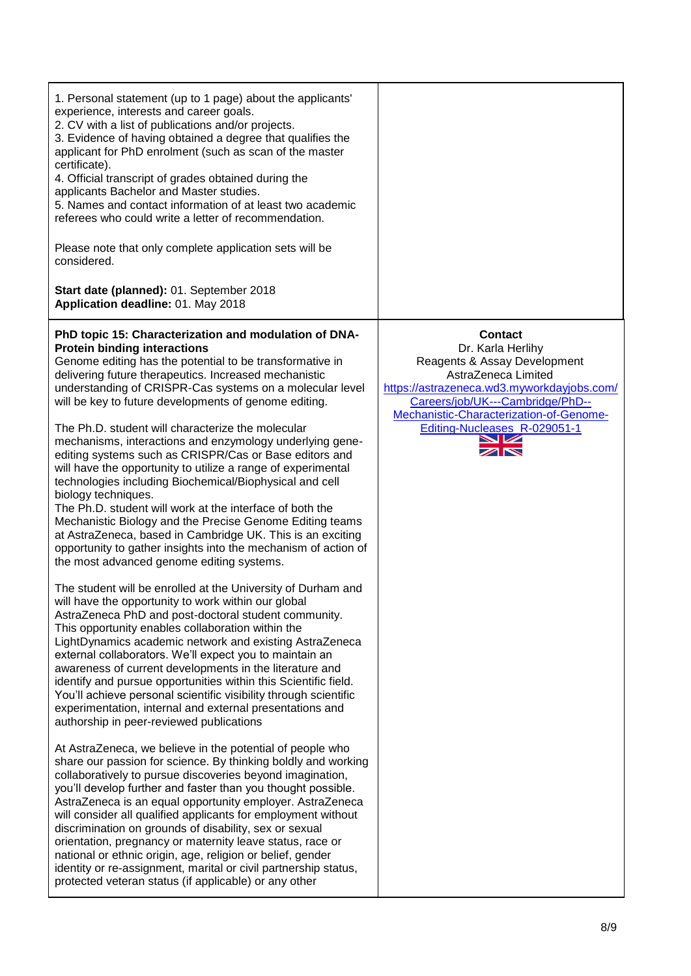| 1. Personal statement (up to 1 page) about the applicants'<br>experience, interests and career goals.<br>2. CV with a list of publications and/or projects.<br>3. Evidence of having obtained a degree that qualifies the<br>applicant for PhD enrolment (such as scan of the master<br>certificate).<br>4. Official transcript of grades obtained during the<br>applicants Bachelor and Master studies.<br>5. Names and contact information of at least two academic<br>referees who could write a letter of recommendation.<br>Please note that only complete application sets will be<br>considered.<br>Start date (planned): 01. September 2018<br>Application deadline: 01. May 2018                                                                                                                                                                                                                                                                                |                                                                                                                                                                                                                                                                                          |
|--------------------------------------------------------------------------------------------------------------------------------------------------------------------------------------------------------------------------------------------------------------------------------------------------------------------------------------------------------------------------------------------------------------------------------------------------------------------------------------------------------------------------------------------------------------------------------------------------------------------------------------------------------------------------------------------------------------------------------------------------------------------------------------------------------------------------------------------------------------------------------------------------------------------------------------------------------------------------|------------------------------------------------------------------------------------------------------------------------------------------------------------------------------------------------------------------------------------------------------------------------------------------|
| PhD topic 15: Characterization and modulation of DNA-<br><b>Protein binding interactions</b><br>Genome editing has the potential to be transformative in<br>delivering future therapeutics. Increased mechanistic<br>understanding of CRISPR-Cas systems on a molecular level<br>will be key to future developments of genome editing.<br>The Ph.D. student will characterize the molecular<br>mechanisms, interactions and enzymology underlying gene-<br>editing systems such as CRISPR/Cas or Base editors and<br>will have the opportunity to utilize a range of experimental<br>technologies including Biochemical/Biophysical and cell<br>biology techniques.<br>The Ph.D. student will work at the interface of both the<br>Mechanistic Biology and the Precise Genome Editing teams<br>at AstraZeneca, based in Cambridge UK. This is an exciting<br>opportunity to gather insights into the mechanism of action of<br>the most advanced genome editing systems. | <b>Contact</b><br>Dr. Karla Herlihy<br>Reagents & Assay Development<br>AstraZeneca Limited<br>https://astrazeneca.wd3.myworkdayjobs.com/<br>Careers/job/UK---Cambridge/PhD--<br>Mechanistic-Characterization-of-Genome-<br>Editing-Nucleases_R-029051-1<br>➤∠<br>$\mathbb{Z} \mathbb{N}$ |
| The student will be enrolled at the University of Durham and<br>will have the opportunity to work within our global<br>AstraZeneca PhD and post-doctoral student community.<br>This opportunity enables collaboration within the<br>LightDynamics academic network and existing AstraZeneca<br>external collaborators. We'll expect you to maintain an<br>awareness of current developments in the literature and<br>identify and pursue opportunities within this Scientific field.<br>You'll achieve personal scientific visibility through scientific<br>experimentation, internal and external presentations and<br>authorship in peer-reviewed publications                                                                                                                                                                                                                                                                                                         |                                                                                                                                                                                                                                                                                          |
| At AstraZeneca, we believe in the potential of people who<br>share our passion for science. By thinking boldly and working<br>collaboratively to pursue discoveries beyond imagination,<br>you'll develop further and faster than you thought possible.<br>AstraZeneca is an equal opportunity employer. AstraZeneca<br>will consider all qualified applicants for employment without<br>discrimination on grounds of disability, sex or sexual<br>orientation, pregnancy or maternity leave status, race or<br>national or ethnic origin, age, religion or belief, gender<br>identity or re-assignment, marital or civil partnership status,<br>protected veteran status (if applicable) or any other                                                                                                                                                                                                                                                                   |                                                                                                                                                                                                                                                                                          |